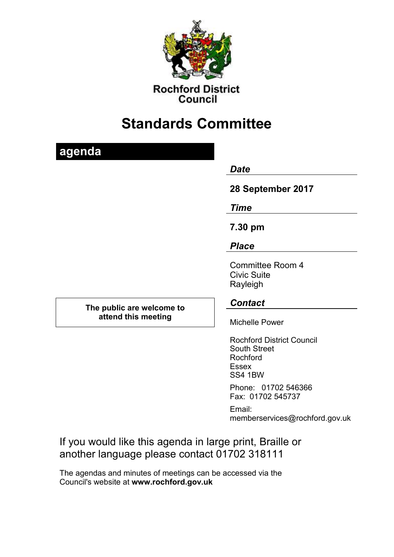

**Rochford District** Council

# **Standards Committee**

## **agenda**

## *Date*

## **28 September 2017**

## *Time*

## **7.30 pm**

## *Place*

Committee Room 4 Civic Suite Rayleigh

## *Contact*

Michelle Power

Rochford District Council South Street Rochford Essex SS4 1BW

Phone: 01702 546366 Fax: 01702 545737

Email: memberservices@rochford.gov.uk

If you would like this agenda in large print, Braille or another language please contact 01702 318111

The agendas and minutes of meetings can be accessed via the Council's website at **[www.rochford.gov.uk](http://www.rochford.gov.uk/)**

**The public are welcome to attend this meeting**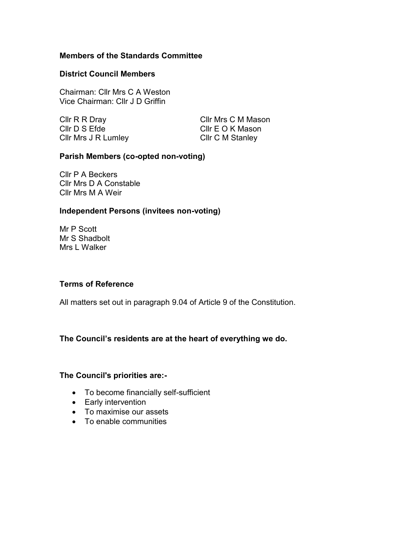#### **Members of the Standards Committee**

#### **District Council Members**

Chairman: Cllr Mrs C A Weston Vice Chairman: Cllr J D Griffin

Cllr D S Efde Cllr E O K Mason Cllr Mrs J R Lumley Cllr C M Stanley

Cllr R R Dray Cllr Mrs C M Mason

#### **Parish Members (co-opted non-voting)**

Cllr P A Beckers Cllr Mrs D A Constable Cllr Mrs M A Weir

#### **Independent Persons (invitees non-voting)**

Mr P Scott Mr S Shadbolt Mrs L Walker

#### **Terms of Reference**

All matters set out in paragraph 9.04 of Article 9 of the Constitution.

#### **The Council's residents are at the heart of everything we do.**

#### **The Council's priorities are:-**

- To become financially self-sufficient
- Early intervention
- To maximise our assets
- To enable communities